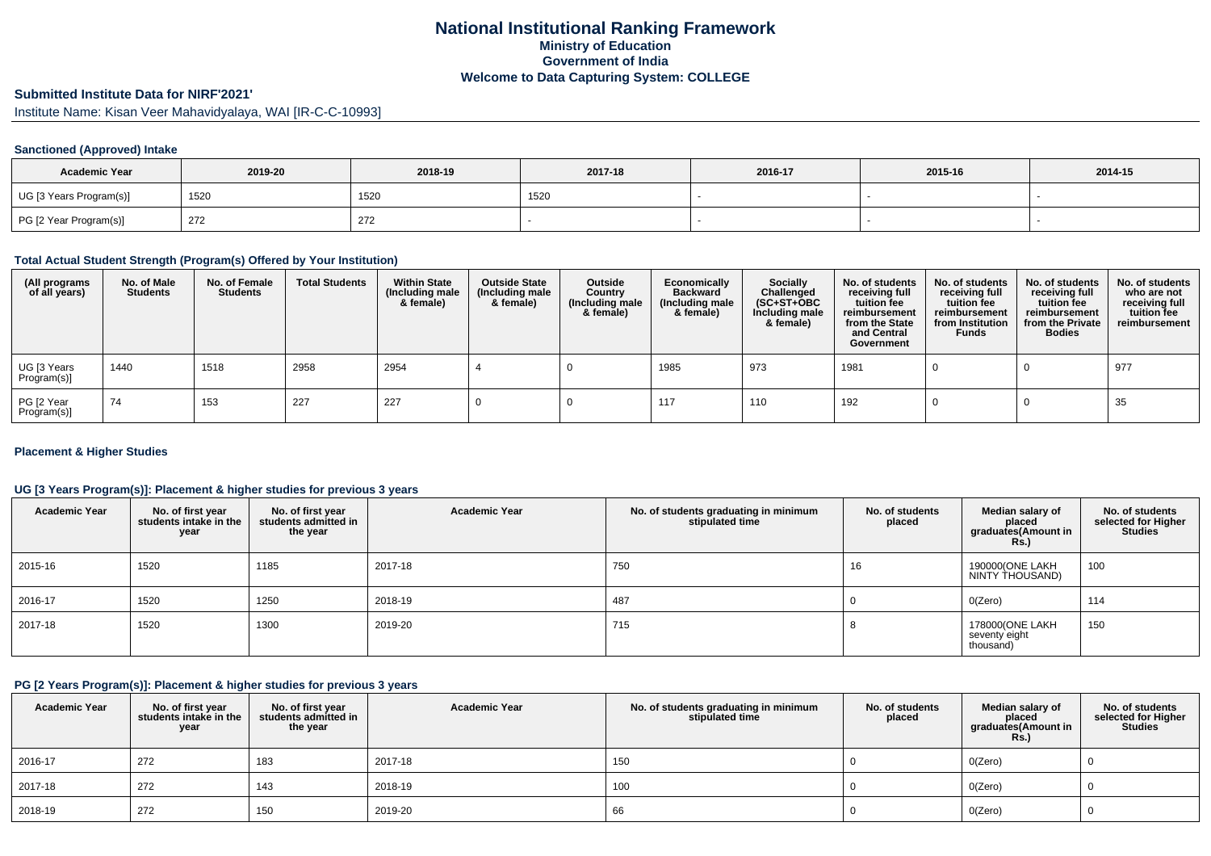## **National Institutional Ranking FrameworkMinistry of Education Government of IndiaWelcome to Data Capturing System: COLLEGE**

# **Submitted Institute Data for NIRF'2021'**

Institute Name: Kisan Veer Mahavidyalaya, WAI [IR-C-C-10993]

#### **Sanctioned (Approved) Intake**

| <b>Academic Year</b>    | 2019-20 | 2018-19 | 2017-18 | 2016-17 | 2015-16 | 2014-15 |
|-------------------------|---------|---------|---------|---------|---------|---------|
| UG [3 Years Program(s)] | 1520    | 1520    | 1520    |         |         |         |
| PG [2 Year Program(s)]  | 272     | 272     |         |         |         |         |

#### **Total Actual Student Strength (Program(s) Offered by Your Institution)**

| (All programs<br>of all years) | No. of Male<br><b>Students</b> | No. of Female<br><b>Students</b> | <b>Total Students</b> | <b>Within State</b><br>(Including male<br>& female) | <b>Outside State</b><br>(Including male<br>& female) | Outside<br>Country<br>(Including male<br>& female) | Economically<br><b>Backward</b><br>(Including male<br>& female) | <b>Socially</b><br>Challenged<br>$(SC+ST+OBC)$<br>Including male<br>& female) | No. of students<br>receiving full<br>tuition fee<br>reimbursement<br>from the State<br>and Central<br>Government | No. of students<br>receiving full<br>tuition fee<br>reimbursement<br>from Institution<br><b>Funds</b> | No. of students<br>receiving full<br>tuition fee<br>reimbursement<br>from the Private<br><b>Bodies</b> | No. of students<br>who are not<br>receiving full<br>tuition fee<br>reimbursement |
|--------------------------------|--------------------------------|----------------------------------|-----------------------|-----------------------------------------------------|------------------------------------------------------|----------------------------------------------------|-----------------------------------------------------------------|-------------------------------------------------------------------------------|------------------------------------------------------------------------------------------------------------------|-------------------------------------------------------------------------------------------------------|--------------------------------------------------------------------------------------------------------|----------------------------------------------------------------------------------|
| UG [3 Years<br>Program(s)]     | 1440                           | 1518                             | 2958                  | 2954                                                |                                                      |                                                    | 1985                                                            | 973                                                                           | 1981                                                                                                             |                                                                                                       |                                                                                                        | 977                                                                              |
| PG [2 Year<br>Program(s)]      | 74                             | 153                              | 227                   | 227                                                 |                                                      |                                                    | 117                                                             | 110                                                                           | 192                                                                                                              |                                                                                                       |                                                                                                        | 35                                                                               |

#### **Placement & Higher Studies**

#### **UG [3 Years Program(s)]: Placement & higher studies for previous 3 years**

| <b>Academic Year</b> | No. of first year<br>students intake in the<br>year | No. of first year<br>students admitted in<br>the year | <b>Academic Year</b> | No. of students graduating in minimum<br>stipulated time | No. of students<br>placed | Median salary of<br>placed<br>graduates(Amount in<br><b>Rs.)</b> | No. of students<br>selected for Higher<br>Studies |
|----------------------|-----------------------------------------------------|-------------------------------------------------------|----------------------|----------------------------------------------------------|---------------------------|------------------------------------------------------------------|---------------------------------------------------|
| 2015-16              | 1520                                                | 1185                                                  | 2017-18              | 750                                                      | 16                        | 190000(ONE LAKH<br>NINTY THOUSAND)                               | 100                                               |
| 2016-17              | 1520                                                | 1250                                                  | 2018-19              | 487                                                      |                           | O(Zero)                                                          | 114                                               |
| 2017-18              | 1520                                                | 1300                                                  | 2019-20              | 715                                                      |                           | 178000(ONE LAKH<br>seventy eight<br>thousand)                    | 150                                               |

#### **PG [2 Years Program(s)]: Placement & higher studies for previous 3 years**

| <b>Academic Year</b> | No. of first year<br>students intake in the<br>year | No. of first year<br>students admitted in<br>the year | <b>Academic Year</b> | No. of students graduating in minimum<br>stipulated time | No. of students<br>placed | Median salary of<br>placed<br>graduates(Amount in<br><b>Rs.)</b> | No. of students<br>selected for Higher<br><b>Studies</b> |
|----------------------|-----------------------------------------------------|-------------------------------------------------------|----------------------|----------------------------------------------------------|---------------------------|------------------------------------------------------------------|----------------------------------------------------------|
| 2016-17              | 272                                                 | 183                                                   | 2017-18              | 150                                                      |                           | O(Zero)                                                          |                                                          |
| 2017-18              | 272                                                 | 143                                                   | 2018-19              | 100                                                      |                           | O(Zero)                                                          |                                                          |
| 2018-19              | 272                                                 | 150                                                   | 2019-20              | 66                                                       |                           | O(Zero)                                                          |                                                          |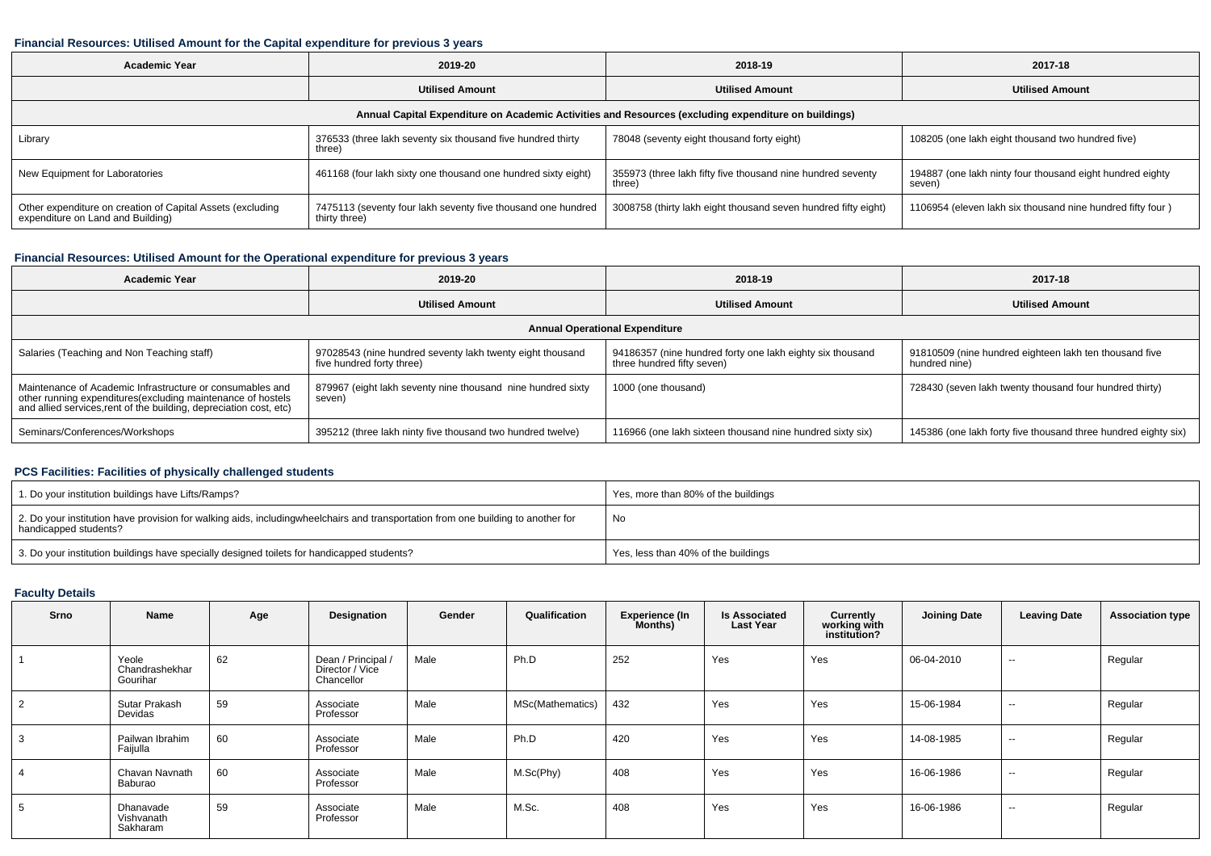#### **Financial Resources: Utilised Amount for the Capital expenditure for previous 3 years**

| Academic Year                                                                                   | 2019-20                                                                       | 2018-19                                                                                              | 2017-18                                                             |  |
|-------------------------------------------------------------------------------------------------|-------------------------------------------------------------------------------|------------------------------------------------------------------------------------------------------|---------------------------------------------------------------------|--|
|                                                                                                 | <b>Utilised Amount</b>                                                        | <b>Utilised Amount</b>                                                                               | <b>Utilised Amount</b>                                              |  |
|                                                                                                 |                                                                               | Annual Capital Expenditure on Academic Activities and Resources (excluding expenditure on buildings) |                                                                     |  |
| Library                                                                                         | 376533 (three lakh seventy six thousand five hundred thirty<br>three)         | 78048 (seventy eight thousand forty eight)                                                           | 108205 (one lakh eight thousand two hundred five)                   |  |
| New Equipment for Laboratories                                                                  | 461168 (four lakh sixty one thousand one hundred sixty eight)                 | 355973 (three lakh fifty five thousand nine hundred seventy<br>three)                                | 194887 (one lakh ninty four thousand eight hundred eighty<br>seven) |  |
| Other expenditure on creation of Capital Assets (excluding<br>expenditure on Land and Building) | 7475113 (seventy four lakh seventy five thousand one hundred<br>thirty three) | 3008758 (thirty lakh eight thousand seven hundred fifty eight)                                       | 1106954 (eleven lakh six thousand nine hundred fifty four)          |  |

## **Financial Resources: Utilised Amount for the Operational expenditure for previous 3 years**

| <b>Academic Year</b>                                                                                                                                                                            | 2019-20                                                                                | 2018-19                                                                                 | 2017-18                                                                 |
|-------------------------------------------------------------------------------------------------------------------------------------------------------------------------------------------------|----------------------------------------------------------------------------------------|-----------------------------------------------------------------------------------------|-------------------------------------------------------------------------|
|                                                                                                                                                                                                 | <b>Utilised Amount</b>                                                                 | <b>Utilised Amount</b>                                                                  | <b>Utilised Amount</b>                                                  |
|                                                                                                                                                                                                 |                                                                                        | <b>Annual Operational Expenditure</b>                                                   |                                                                         |
| Salaries (Teaching and Non Teaching staff)                                                                                                                                                      | 97028543 (nine hundred seventy lakh twenty eight thousand<br>five hundred forty three) | 94186357 (nine hundred forty one lakh eighty six thousand<br>three hundred fifty seven) | 91810509 (nine hundred eighteen lakh ten thousand five<br>hundred nine) |
| Maintenance of Academic Infrastructure or consumables and<br>other running expenditures (excluding maintenance of hostels<br>and allied services, rent of the building, depreciation cost, etc) | 879967 (eight lakh seventy nine thousand nine hundred sixty<br>seven)                  | 1000 (one thousand)                                                                     | 728430 (seven lakh twenty thousand four hundred thirty)                 |
| Seminars/Conferences/Workshops                                                                                                                                                                  | 395212 (three lakh ninty five thousand two hundred twelve)                             | 116966 (one lakh sixteen thousand nine hundred sixty six)                               | 145386 (one lakh forty five thousand three hundred eighty six)          |

## **PCS Facilities: Facilities of physically challenged students**

| 1. Do your institution buildings have Lifts/Ramps?                                                                                                        | Yes, more than 80% of the buildings |
|-----------------------------------------------------------------------------------------------------------------------------------------------------------|-------------------------------------|
| 2. Do your institution have provision for walking aids, includingwheelchairs and transportation from one building to another for<br>handicapped students? | No                                  |
| 3. Do your institution buildings have specially designed toilets for handicapped students?                                                                | Yes, less than 40% of the buildings |

## **Faculty Details**

| Srno | Name                                | Age | Designation                                       | Gender | Qualification    | <b>Experience (In</b><br><b>Months)</b> | <b>Is Associated</b><br><b>Last Year</b> | Currently<br>working with<br>institution? | <b>Joining Date</b> | <b>Leaving Date</b> | <b>Association type</b> |
|------|-------------------------------------|-----|---------------------------------------------------|--------|------------------|-----------------------------------------|------------------------------------------|-------------------------------------------|---------------------|---------------------|-------------------------|
|      | Yeole<br>Chandrashekhar<br>Gourihar | 62  | Dean / Principal<br>Director / Vice<br>Chancellor | Male   | Ph.D             | 252                                     | Yes                                      | Yes                                       | 06-04-2010          | $\sim$              | Regular                 |
|      | Sutar Prakash<br>Devidas            | 59  | Associate<br>Professor                            | Male   | MSc(Mathematics) | 432                                     | Yes                                      | Yes                                       | 15-06-1984          | $\sim$              | Regular                 |
|      | Pailwan Ibrahim<br>Faijulla         | 60  | Associate<br>Professor                            | Male   | Ph.D             | 420                                     | Yes                                      | Yes                                       | 14-08-1985          | $\sim$              | Regular                 |
|      | Chavan Navnath<br>Baburao           | 60  | Associate<br>Professor                            | Male   | M.Sc(Phy)        | 408                                     | Yes                                      | Yes                                       | 16-06-1986          | $\sim$              | Regular                 |
| G.   | Dhanavade<br>Vishvanath<br>Sakharam | 59  | Associate<br>Professor                            | Male   | M.Sc.            | 408                                     | Yes                                      | Yes                                       | 16-06-1986          | $\sim$              | Regular                 |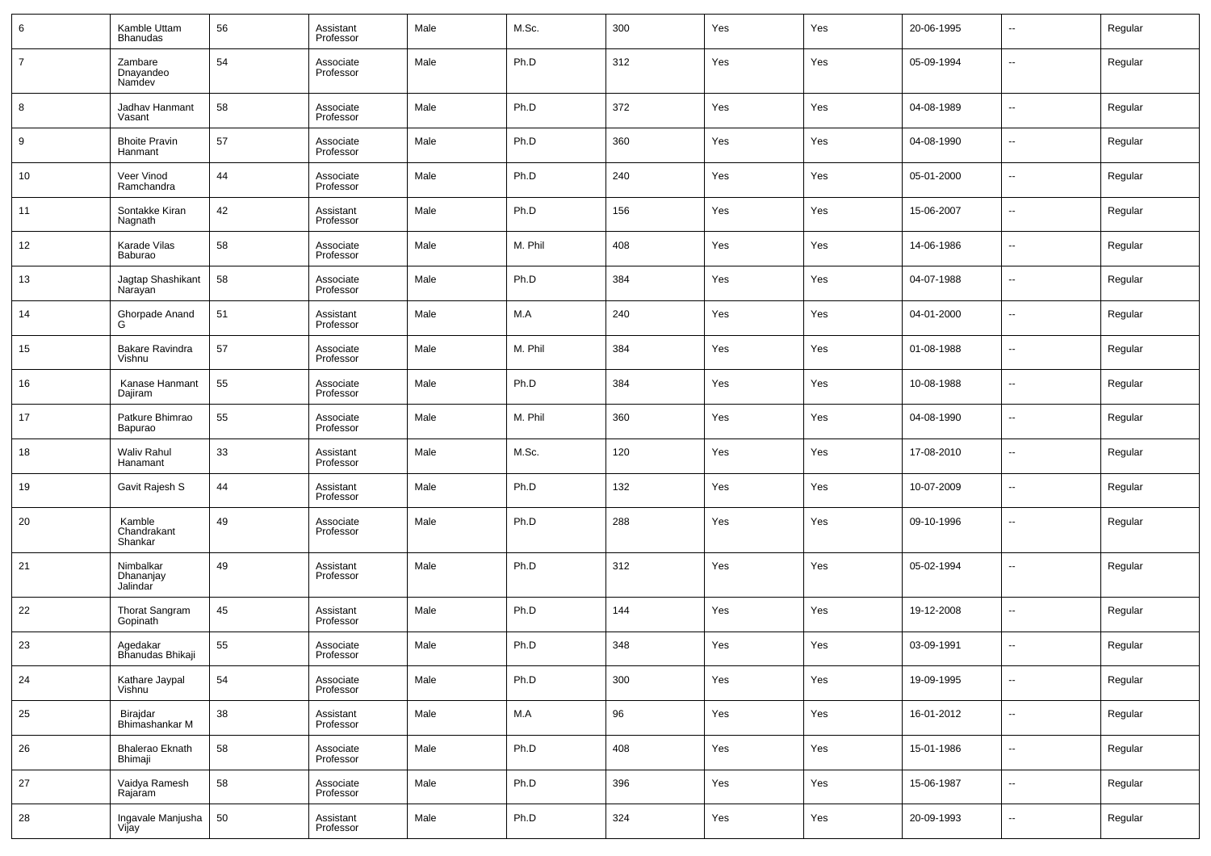| 6              | Kamble Uttam<br><b>Bhanudas</b>    | 56       | Assistant<br>Professor | Male | M.Sc.   | 300 | Yes | Yes | 20-06-1995 | $\overline{\phantom{a}}$ | Regular |
|----------------|------------------------------------|----------|------------------------|------|---------|-----|-----|-----|------------|--------------------------|---------|
| $\overline{7}$ | Zambare<br>Dnayandeo<br>Namdev     | 54       | Associate<br>Professor | Male | Ph.D    | 312 | Yes | Yes | 05-09-1994 | --                       | Regular |
| 8              | Jadhav Hanmant<br>Vasant           | 58       | Associate<br>Professor | Male | Ph.D    | 372 | Yes | Yes | 04-08-1989 | ÷.                       | Regular |
| 9              | <b>Bhoite Pravin</b><br>Hanmant    | 57       | Associate<br>Professor | Male | Ph.D    | 360 | Yes | Yes | 04-08-1990 | Ξ.                       | Regular |
| 10             | Veer Vinod<br>Ramchandra           | 44       | Associate<br>Professor | Male | Ph.D    | 240 | Yes | Yes | 05-01-2000 | ÷.                       | Regular |
| 11             | Sontakke Kiran<br>Nagnath          | 42       | Assistant<br>Professor | Male | Ph.D    | 156 | Yes | Yes | 15-06-2007 | Ξ.                       | Regular |
| 12             | Karade Vilas<br>Baburao            | 58       | Associate<br>Professor | Male | M. Phil | 408 | Yes | Yes | 14-06-1986 | ÷.                       | Regular |
| 13             | Jagtap Shashikant<br>Narayan       | 58       | Associate<br>Professor | Male | Ph.D    | 384 | Yes | Yes | 04-07-1988 | Ξ.                       | Regular |
| 14             | Ghorpade Anand<br>G                | 51       | Assistant<br>Professor | Male | M.A     | 240 | Yes | Yes | 04-01-2000 | ÷.                       | Regular |
| 15             | Bakare Ravindra<br>Vishnu          | 57       | Associate<br>Professor | Male | M. Phil | 384 | Yes | Yes | 01-08-1988 | Ξ.                       | Regular |
| 16             | Kanase Hanmant<br>Dajiram          | 55       | Associate<br>Professor | Male | Ph.D    | 384 | Yes | Yes | 10-08-1988 | ÷.                       | Regular |
| 17             | Patkure Bhimrao<br>Bapurao         | 55       | Associate<br>Professor | Male | M. Phil | 360 | Yes | Yes | 04-08-1990 | Ξ.                       | Regular |
| 18             | <b>Waliv Rahul</b><br>Hanamant     | 33       | Assistant<br>Professor | Male | M.Sc.   | 120 | Yes | Yes | 17-08-2010 | --                       | Regular |
| 19             | Gavit Rajesh S                     | 44       | Assistant<br>Professor | Male | Ph.D    | 132 | Yes | Yes | 10-07-2009 | $\overline{\phantom{a}}$ | Regular |
| 20             | Kamble<br>Chandrakant<br>Shankar   | 49       | Associate<br>Professor | Male | Ph.D    | 288 | Yes | Yes | 09-10-1996 | -−                       | Regular |
| 21             | Nimbalkar<br>Dhananjay<br>Jalindar | 49       | Assistant<br>Professor | Male | Ph.D    | 312 | Yes | Yes | 05-02-1994 | -−                       | Regular |
| 22             | Thorat Sangram<br>Gopinath         | $\bf 45$ | Assistant<br>Professor | Male | Ph.D    | 144 | Yes | Yes | 19-12-2008 | --                       | Regular |
| 23             | Agedakar<br>Bhanudas Bhikaji       | 55       | Associate<br>Professor | Male | Ph.D    | 348 | Yes | Yes | 03-09-1991 | -−                       | Regular |
| 24             | Kathare Jaypal<br>Vishnu           | 54       | Associate<br>Professor | Male | Ph.D    | 300 | Yes | Yes | 19-09-1995 | --                       | Regular |
| 25             | Birajdar<br>Bhimashankar M         | 38       | Assistant<br>Professor | Male | M.A     | 96  | Yes | Yes | 16-01-2012 | $\overline{\phantom{a}}$ | Regular |
| 26             | Bhalerao Eknath<br>Bhimaji         | 58       | Associate<br>Professor | Male | Ph.D    | 408 | Yes | Yes | 15-01-1986 | $\overline{\phantom{a}}$ | Regular |
| 27             | Vaidya Ramesh<br>Rajaram           | 58       | Associate<br>Professor | Male | Ph.D    | 396 | Yes | Yes | 15-06-1987 | $\overline{\phantom{a}}$ | Regular |
| 28             | Ingavale Manjusha<br>Vijay         | 50       | Assistant<br>Professor | Male | Ph.D    | 324 | Yes | Yes | 20-09-1993 | --                       | Regular |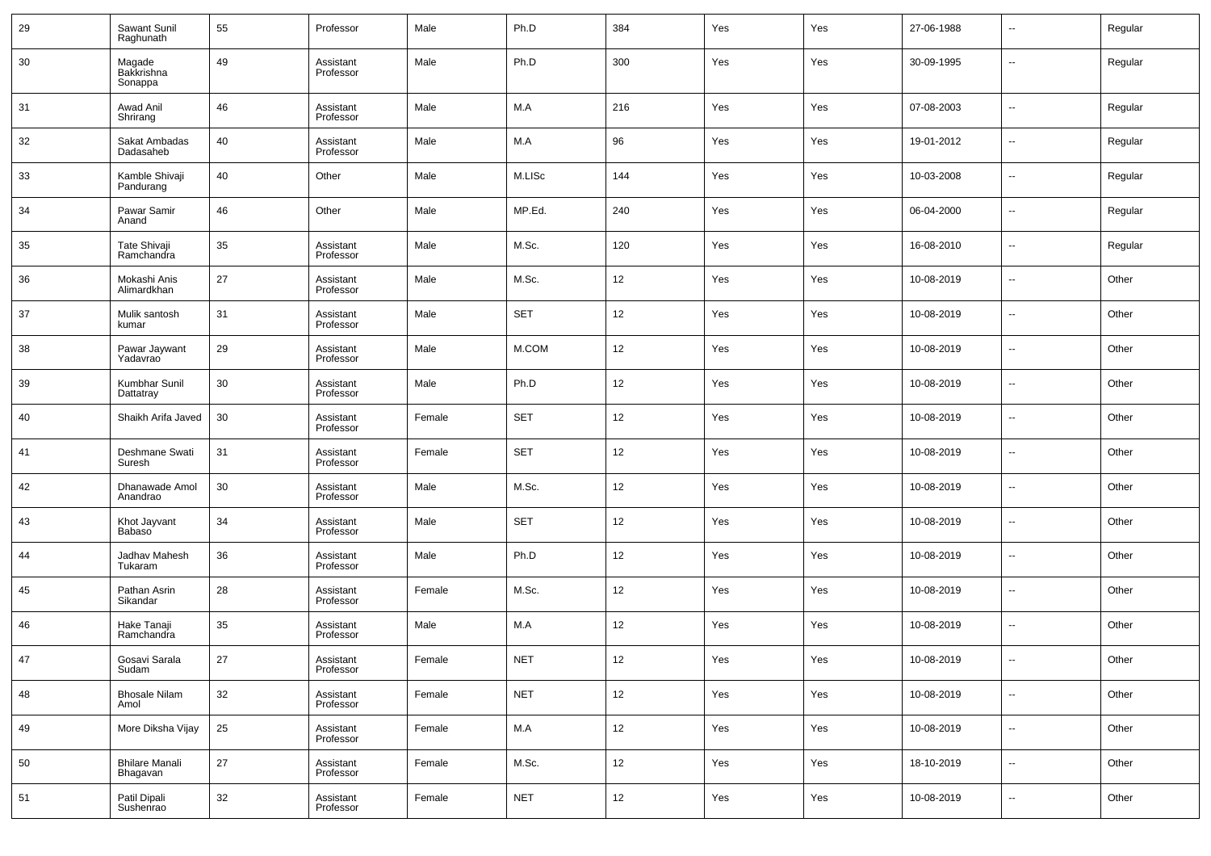| 29 | Sawant Sunil<br>Raghunath           | 55 | Professor              | Male   | Ph.D       | 384               | Yes | Yes | 27-06-1988 | $\sim$                   | Regular |
|----|-------------------------------------|----|------------------------|--------|------------|-------------------|-----|-----|------------|--------------------------|---------|
| 30 | Magade<br>Bakkrishna<br>Sonappa     | 49 | Assistant<br>Professor | Male   | Ph.D       | 300               | Yes | Yes | 30-09-1995 | $\sim$                   | Regular |
| 31 | Awad Anil<br>Shrirang               | 46 | Assistant<br>Professor | Male   | M.A        | 216               | Yes | Yes | 07-08-2003 | $\ddotsc$                | Regular |
| 32 | Sakat Ambadas<br>Dadasaheb          | 40 | Assistant<br>Professor | Male   | M.A        | 96                | Yes | Yes | 19-01-2012 | $\ddotsc$                | Regular |
| 33 | Kamble Shivaji<br>Pandurang         | 40 | Other                  | Male   | M.LISc     | 144               | Yes | Yes | 10-03-2008 | н.                       | Regular |
| 34 | Pawar Samir<br>Anand                | 46 | Other                  | Male   | MP.Ed.     | 240               | Yes | Yes | 06-04-2000 | ۰.                       | Regular |
| 35 | Tate Shivaji<br>Ramchandra          | 35 | Assistant<br>Professor | Male   | M.Sc.      | 120               | Yes | Yes | 16-08-2010 | $\ddotsc$                | Regular |
| 36 | Mokashi Anis<br>Alimardkhan         | 27 | Assistant<br>Professor | Male   | M.Sc.      | 12                | Yes | Yes | 10-08-2019 | щ.                       | Other   |
| 37 | Mulik santosh<br>kumar              | 31 | Assistant<br>Professor | Male   | <b>SET</b> | 12                | Yes | Yes | 10-08-2019 | ۰.                       | Other   |
| 38 | Pawar Jaywant<br>Yadavrao           | 29 | Assistant<br>Professor | Male   | M.COM      | 12                | Yes | Yes | 10-08-2019 | $\sim$                   | Other   |
| 39 | Kumbhar Sunil<br>Dattatray          | 30 | Assistant<br>Professor | Male   | Ph.D       | 12                | Yes | Yes | 10-08-2019 | $\sim$                   | Other   |
| 40 | Shaikh Arifa Javed                  | 30 | Assistant<br>Professor | Female | <b>SET</b> | 12                | Yes | Yes | 10-08-2019 | ⊶.                       | Other   |
| 41 | Deshmane Swati<br>Suresh            | 31 | Assistant<br>Professor | Female | <b>SET</b> | 12                | Yes | Yes | 10-08-2019 | ⊷                        | Other   |
| 42 | Dhanawade Amol<br>Anandrao          | 30 | Assistant<br>Professor | Male   | M.Sc.      | 12                | Yes | Yes | 10-08-2019 | н.                       | Other   |
| 43 | Khot Jayvant<br>Babaso <sup>®</sup> | 34 | Assistant<br>Professor | Male   | <b>SET</b> | 12                | Yes | Yes | 10-08-2019 | $\overline{\phantom{a}}$ | Other   |
| 44 | Jadhav Mahesh<br>Tukaram            | 36 | Assistant<br>Professor | Male   | Ph.D       | 12                | Yes | Yes | 10-08-2019 | $\overline{\phantom{a}}$ | Other   |
| 45 | Pathan Asrin<br>Sikandar            | 28 | Assistant<br>Professor | Female | M.Sc.      | 12                | Yes | Yes | 10-08-2019 | $\overline{\phantom{a}}$ | Other   |
| 46 | Hake Tanaji<br>Ramchandra           | 35 | Assistant<br>Professor | Male   | M.A        | 12                | Yes | Yes | 10-08-2019 | $\overline{\phantom{a}}$ | Other   |
| 47 | Gosavi Sarala<br>Sudam              | 27 | Assistant<br>Professor | Female | NET        | 12                | Yes | Yes | 10-08-2019 |                          | Other   |
| 48 | <b>Bhosale Nilam</b><br>Amol        | 32 | Assistant<br>Professor | Female | <b>NET</b> | 12                | Yes | Yes | 10-08-2019 | н.                       | Other   |
| 49 | More Diksha Vijay                   | 25 | Assistant<br>Professor | Female | M.A        | 12                | Yes | Yes | 10-08-2019 | н.                       | Other   |
| 50 | <b>Bhilare Manali</b><br>Bhagavan   | 27 | Assistant<br>Professor | Female | M.Sc.      | 12                | Yes | Yes | 18-10-2019 | н.                       | Other   |
| 51 | Patil Dipali<br>Sushenrao           | 32 | Assistant<br>Professor | Female | <b>NET</b> | $12 \overline{ }$ | Yes | Yes | 10-08-2019 | ⊷                        | Other   |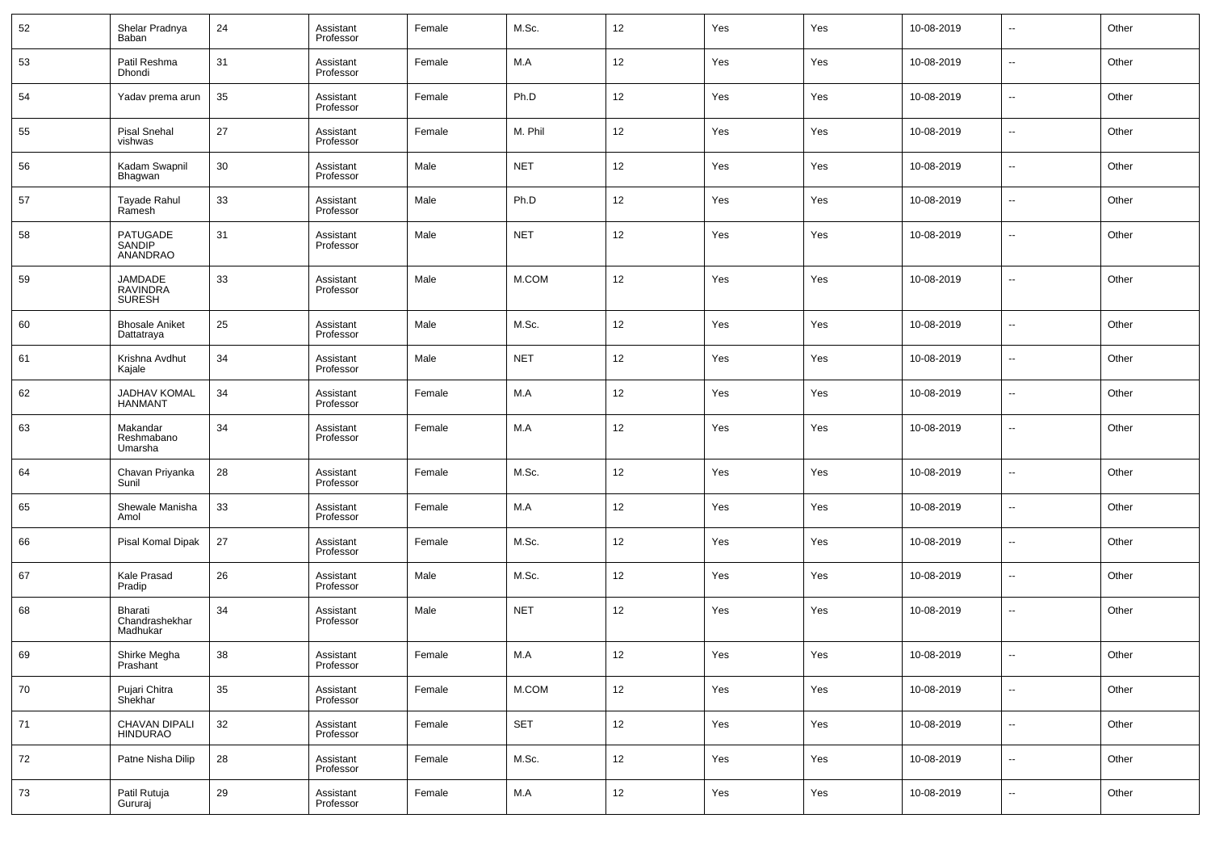| 52 | Shelar Pradnya<br>Baban               | 24 | Assistant<br>Professor | Female | M.Sc.      | 12 | Yes | Yes | 10-08-2019 | --                       | Other |
|----|---------------------------------------|----|------------------------|--------|------------|----|-----|-----|------------|--------------------------|-------|
| 53 | Patil Reshma<br>Dhondi                | 31 | Assistant<br>Professor | Female | M.A        | 12 | Yes | Yes | 10-08-2019 | $\overline{\phantom{a}}$ | Other |
| 54 | Yadav prema arun                      | 35 | Assistant<br>Professor | Female | Ph.D       | 12 | Yes | Yes | 10-08-2019 | $\sim$                   | Other |
| 55 | <b>Pisal Snehal</b><br>vishwas        | 27 | Assistant<br>Professor | Female | M. Phil    | 12 | Yes | Yes | 10-08-2019 | $\overline{\phantom{a}}$ | Other |
| 56 | Kadam Swapnil<br>Bhagwan              | 30 | Assistant<br>Professor | Male   | <b>NET</b> | 12 | Yes | Yes | 10-08-2019 | $\sim$                   | Other |
| 57 | Tayade Rahul<br>Ramesh                | 33 | Assistant<br>Professor | Male   | Ph.D       | 12 | Yes | Yes | 10-08-2019 | $\overline{\phantom{a}}$ | Other |
| 58 | PATUGADE<br>SANDIP<br>ANANDRAO        | 31 | Assistant<br>Professor | Male   | <b>NET</b> | 12 | Yes | Yes | 10-08-2019 | --                       | Other |
| 59 | JAMDADE<br>RAVINDRA<br><b>SURESH</b>  | 33 | Assistant<br>Professor | Male   | M.COM      | 12 | Yes | Yes | 10-08-2019 | ш,                       | Other |
| 60 | <b>Bhosale Aniket</b><br>Dattatraya   | 25 | Assistant<br>Professor | Male   | M.Sc.      | 12 | Yes | Yes | 10-08-2019 | --                       | Other |
| 61 | Krishna Avdhut<br>Kajale              | 34 | Assistant<br>Professor | Male   | <b>NET</b> | 12 | Yes | Yes | 10-08-2019 | --                       | Other |
| 62 | JADHAV KOMAL<br><b>HANMANT</b>        | 34 | Assistant<br>Professor | Female | M.A        | 12 | Yes | Yes | 10-08-2019 | --                       | Other |
| 63 | Makandar<br>Reshmabano<br>Umarsha     | 34 | Assistant<br>Professor | Female | M.A        | 12 | Yes | Yes | 10-08-2019 | --                       | Other |
| 64 | Chavan Priyanka<br>Sunil              | 28 | Assistant<br>Professor | Female | M.Sc.      | 12 | Yes | Yes | 10-08-2019 | --                       | Other |
| 65 | Shewale Manisha<br>Amol               | 33 | Assistant<br>Professor | Female | M.A        | 12 | Yes | Yes | 10-08-2019 | --                       | Other |
| 66 | Pisal Komal Dipak                     | 27 | Assistant<br>Professor | Female | M.Sc.      | 12 | Yes | Yes | 10-08-2019 | --                       | Other |
| 67 | Kale Prasad<br>Pradip                 | 26 | Assistant<br>Professor | Male   | M.Sc.      | 12 | Yes | Yes | 10-08-2019 | --                       | Other |
| 68 | Bharati<br>Chandrashekhar<br>Madhukar | 34 | Assistant<br>Professor | Male   | <b>NET</b> | 12 | Yes | Yes | 10-08-2019 | --                       | Other |
| 69 | Shirke Megha<br>Prashant              | 38 | Assistant<br>Professor | Female | M.A        | 12 | Yes | Yes | 10-08-2019 | $\overline{\phantom{a}}$ | Other |
| 70 | Pujari Chitra<br>Shekhar              | 35 | Assistant<br>Professor | Female | M.COM      | 12 | Yes | Yes | 10-08-2019 | $\overline{\phantom{a}}$ | Other |
| 71 | CHAVAN DIPALI<br><b>HINDURAO</b>      | 32 | Assistant<br>Professor | Female | <b>SET</b> | 12 | Yes | Yes | 10-08-2019 | $\sim$                   | Other |
| 72 | Patne Nisha Dilip                     | 28 | Assistant<br>Professor | Female | M.Sc.      | 12 | Yes | Yes | 10-08-2019 | $\overline{\phantom{a}}$ | Other |
| 73 | Patil Rutuja<br>Gururaj               | 29 | Assistant<br>Professor | Female | M.A        | 12 | Yes | Yes | 10-08-2019 | $\sim$                   | Other |